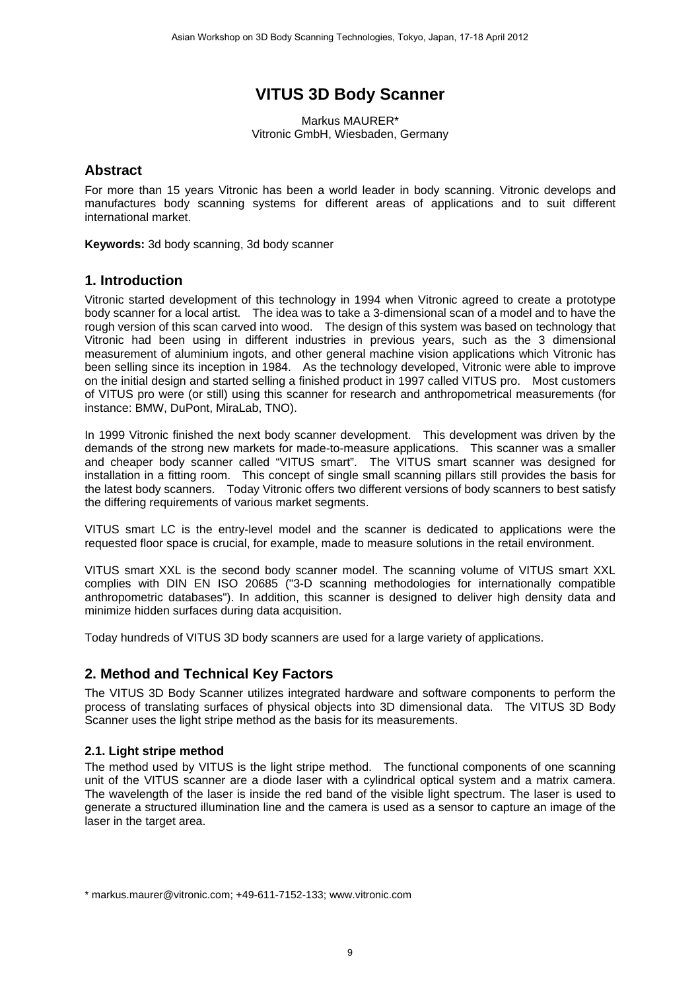# **VITUS 3D Body Scanner**

Markus MAURER\* Vitronic GmbH, Wiesbaden, Germany

#### **Abstract**

For more than 15 years Vitronic has been a world leader in body scanning. Vitronic develops and manufactures body scanning systems for different areas of applications and to suit different international market.

**Keywords:** 3d body scanning, 3d body scanner

#### **1. Introduction**

Vitronic started development of this technology in 1994 when Vitronic agreed to create a prototype body scanner for a local artist. The idea was to take a 3-dimensional scan of a model and to have the rough version of this scan carved into wood. The design of this system was based on technology that Vitronic had been using in different industries in previous years, such as the 3 dimensional measurement of aluminium ingots, and other general machine vision applications which Vitronic has been selling since its inception in 1984. As the technology developed, Vitronic were able to improve on the initial design and started selling a finished product in 1997 called VITUS pro. Most customers of VITUS pro were (or still) using this scanner for research and anthropometrical measurements (for instance: BMW, DuPont, MiraLab, TNO).

In 1999 Vitronic finished the next body scanner development. This development was driven by the demands of the strong new markets for made-to-measure applications. This scanner was a smaller and cheaper body scanner called "VITUS smart". The VITUS smart scanner was designed for installation in a fitting room. This concept of single small scanning pillars still provides the basis for the latest body scanners. Today Vitronic offers two different versions of body scanners to best satisfy the differing requirements of various market segments.

VITUS smart LC is the entry-level model and the scanner is dedicated to applications were the requested floor space is crucial, for example, made to measure solutions in the retail environment.

VITUS smart XXL is the second body scanner model. The scanning volume of VITUS smart XXL complies with DIN EN ISO 20685 ("3-D scanning methodologies for internationally compatible anthropometric databases"). In addition, this scanner is designed to deliver high density data and minimize hidden surfaces during data acquisition.

Today hundreds of VITUS 3D body scanners are used for a large variety of applications.

### **2. Method and Technical Key Factors**

The VITUS 3D Body Scanner utilizes integrated hardware and software components to perform the process of translating surfaces of physical objects into 3D dimensional data. The VITUS 3D Body Scanner uses the light stripe method as the basis for its measurements.

#### **2.1. Light stripe method**

The method used by VITUS is the light stripe method. The functional components of one scanning unit of the VITUS scanner are a diode laser with a cylindrical optical system and a matrix camera. The wavelength of the laser is inside the red band of the visible light spectrum. The laser is used to generate a structured illumination line and the camera is used as a sensor to capture an image of the laser in the target area.

<sup>\*</sup> markus.maurer@vitronic.com; +49-611-7152-133; www.vitronic.com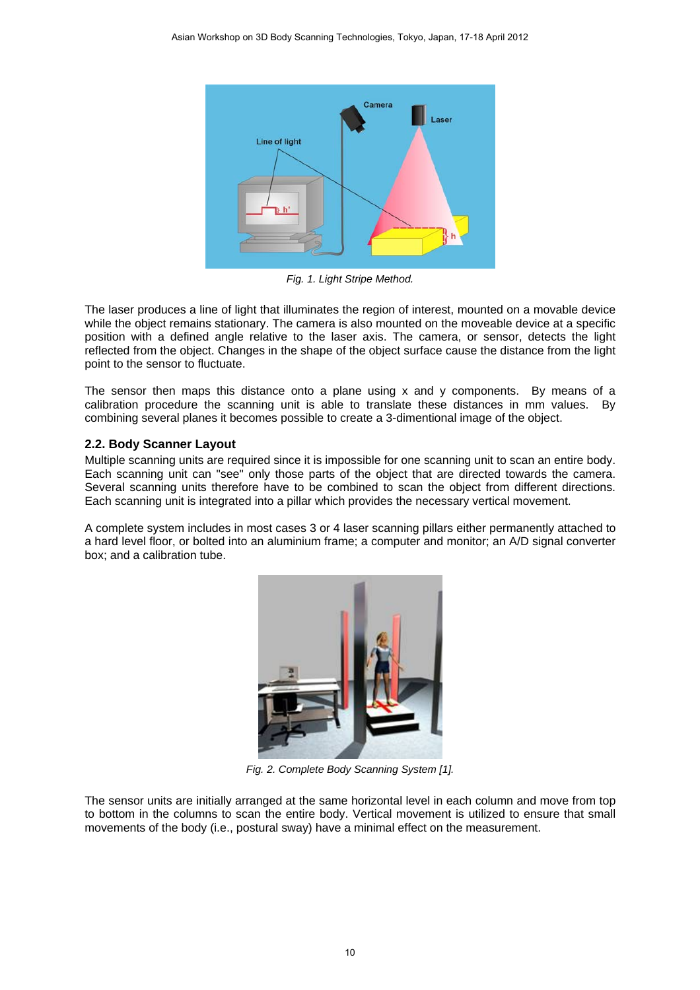

*Fig. 1. Light Stripe Method.* 

The laser produces a line of light that illuminates the region of interest, mounted on a movable device while the object remains stationary. The camera is also mounted on the moveable device at a specific position with a defined angle relative to the laser axis. The camera, or sensor, detects the light reflected from the object. Changes in the shape of the object surface cause the distance from the light point to the sensor to fluctuate.

The sensor then maps this distance onto a plane using x and y components. By means of a calibration procedure the scanning unit is able to translate these distances in mm values. By combining several planes it becomes possible to create a 3-dimentional image of the object.

#### **2.2. Body Scanner Layout**

Multiple scanning units are required since it is impossible for one scanning unit to scan an entire body. Each scanning unit can "see" only those parts of the object that are directed towards the camera. Several scanning units therefore have to be combined to scan the object from different directions. Each scanning unit is integrated into a pillar which provides the necessary vertical movement.

A complete system includes in most cases 3 or 4 laser scanning pillars either permanently attached to a hard level floor, or bolted into an aluminium frame; a computer and monitor; an A/D signal converter box; and a calibration tube.



*Fig. 2. Complete Body Scanning System [1].* 

The sensor units are initially arranged at the same horizontal level in each column and move from top to bottom in the columns to scan the entire body. Vertical movement is utilized to ensure that small movements of the body (i.e., postural sway) have a minimal effect on the measurement.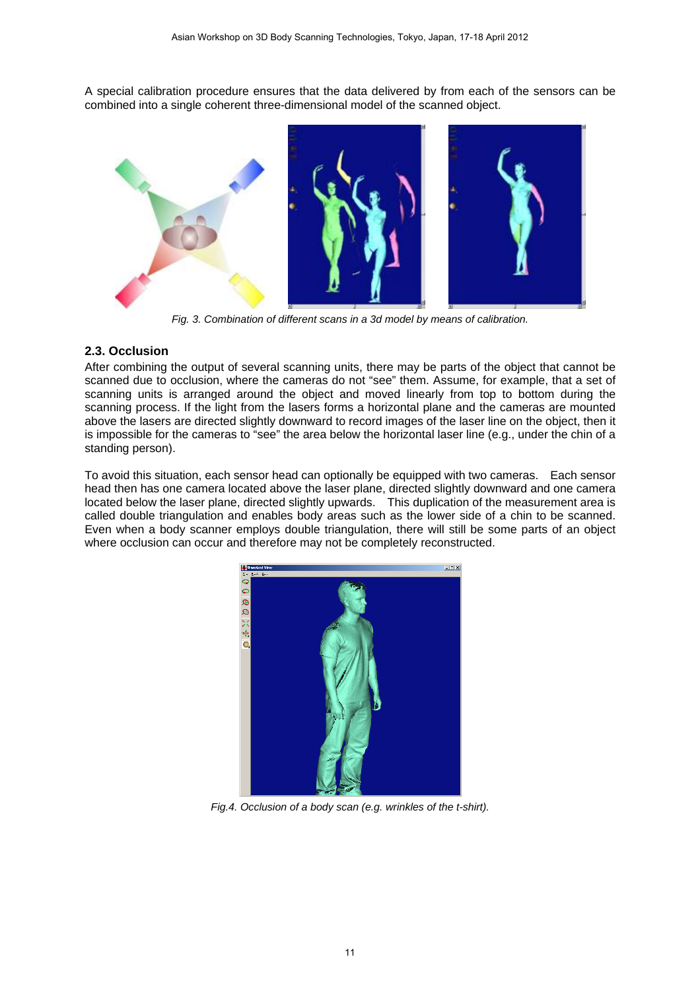A special calibration procedure ensures that the data delivered by from each of the sensors can be combined into a single coherent three-dimensional model of the scanned object.



*Fig. 3. Combination of different scans in a 3d model by means of calibration.* 

#### **2.3. Occlusion**

After combining the output of several scanning units, there may be parts of the object that cannot be scanned due to occlusion, where the cameras do not "see" them. Assume, for example, that a set of scanning units is arranged around the object and moved linearly from top to bottom during the scanning process. If the light from the lasers forms a horizontal plane and the cameras are mounted above the lasers are directed slightly downward to record images of the laser line on the object, then it is impossible for the cameras to "see" the area below the horizontal laser line (e.g., under the chin of a standing person).

To avoid this situation, each sensor head can optionally be equipped with two cameras. Each sensor head then has one camera located above the laser plane, directed slightly downward and one camera located below the laser plane, directed slightly upwards. This duplication of the measurement area is called double triangulation and enables body areas such as the lower side of a chin to be scanned. Even when a body scanner employs double triangulation, there will still be some parts of an object where occlusion can occur and therefore may not be completely reconstructed.



*Fig.4. Occlusion of a body scan (e.g. wrinkles of the t-shirt).*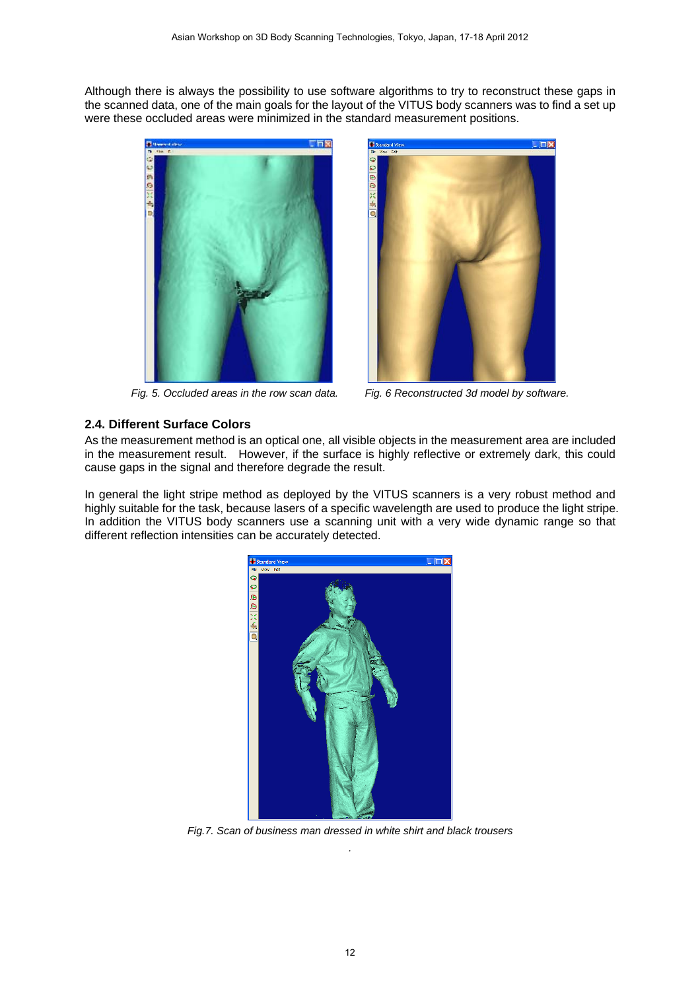Although there is always the possibility to use software algorithms to try to reconstruct these gaps in the scanned data, one of the main goals for the layout of the VITUS body scanners was to find a set up were these occluded areas were minimized in the standard measurement positions.





*Fig. 5. Occluded areas in the row scan data. Fig. 6 Reconstructed 3d model by software.* 

#### **2.4. Different Surface Colors**

As the measurement method is an optical one, all visible objects in the measurement area are included in the measurement result. However, if the surface is highly reflective or extremely dark, this could cause gaps in the signal and therefore degrade the result.

In general the light stripe method as deployed by the VITUS scanners is a very robust method and highly suitable for the task, because lasers of a specific wavelength are used to produce the light stripe. In addition the VITUS body scanners use a scanning unit with a very wide dynamic range so that different reflection intensities can be accurately detected.



*Fig.7. Scan of business man dressed in white shirt and black trousers .*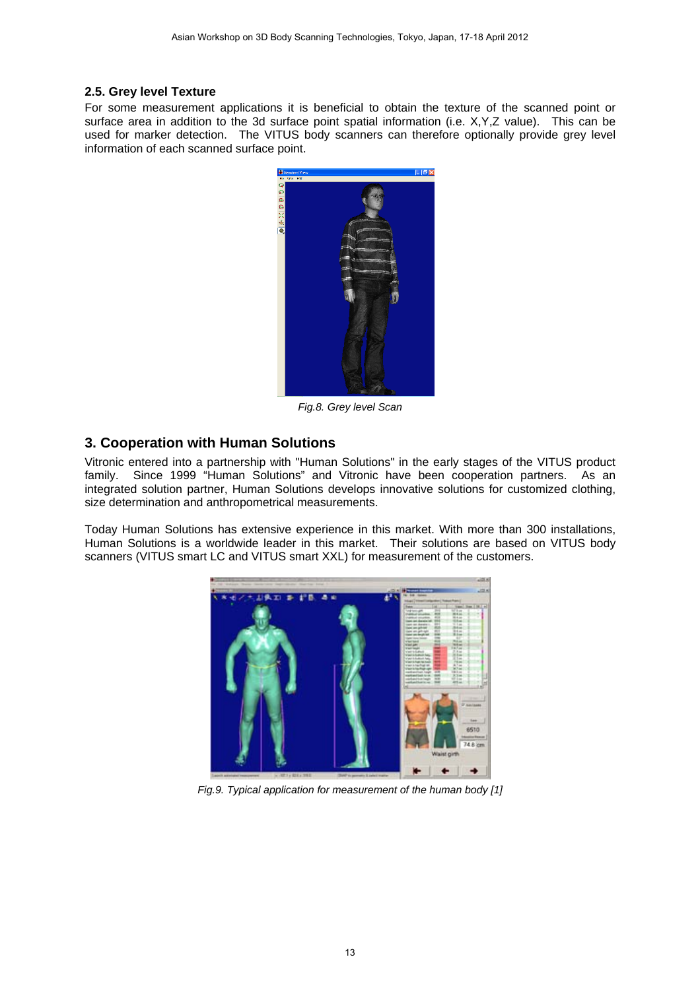#### **2.5. Grey level Texture**

For some measurement applications it is beneficial to obtain the texture of the scanned point or surface area in addition to the 3d surface point spatial information (i.e. X,Y,Z value). This can be used for marker detection. The VITUS body scanners can therefore optionally provide grey level information of each scanned surface point.



*Fig.8. Grey level Scan* 

## **3. Cooperation with Human Solutions**

Vitronic entered into a partnership with "Human Solutions" in the early stages of the VITUS product family. Since 1999 "Human Solutions" and Vitronic have been cooperation partners. As an integrated solution partner, Human Solutions develops innovative solutions for customized clothing, size determination and anthropometrical measurements.

Today Human Solutions has extensive experience in this market. With more than 300 installations, Human Solutions is a worldwide leader in this market. Their solutions are based on VITUS body scanners (VITUS smart LC and VITUS smart XXL) for measurement of the customers.



*Fig.9. Typical application for measurement of the human body [1]*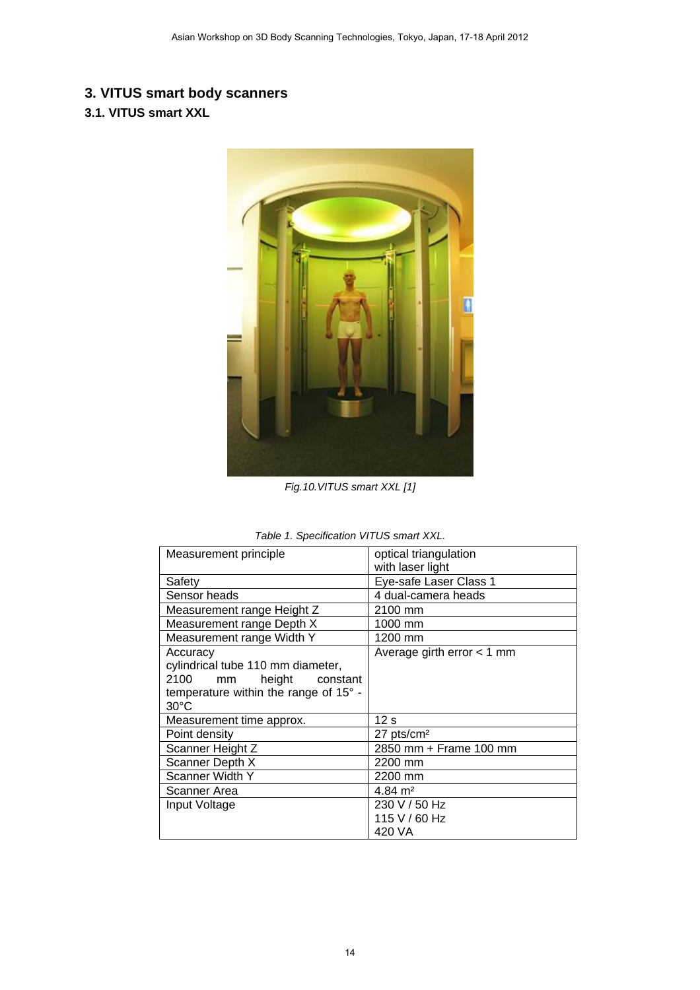# **3. VITUS smart body scanners**

# **3.1. VITUS smart XXL**



*Fig.10.VITUS smart XXL [1]* 

| Measurement principle                 | optical triangulation        |
|---------------------------------------|------------------------------|
|                                       | with laser light             |
| Safety                                | Eye-safe Laser Class 1       |
| Sensor heads                          | 4 dual-camera heads          |
| Measurement range Height Z            | 2100 mm                      |
| Measurement range Depth X             | 1000 mm                      |
| Measurement range Width Y             | 1200 mm                      |
| Accuracy                              | Average girth error $<$ 1 mm |
| cylindrical tube 110 mm diameter,     |                              |
| 2100<br>height<br>mm<br>constant      |                              |
| temperature within the range of 15° - |                              |
| $30^{\circ}$ C                        |                              |
| Measurement time approx.              | 12 <sub>s</sub>              |
| Point density                         | $27$ pts/cm <sup>2</sup>     |
| Scanner Height Z                      | 2850 mm + Frame 100 mm       |
| Scanner Depth X                       | 2200 mm                      |
| Scanner Width Y                       | 2200 mm                      |
| Scanner Area                          | $4.84 \text{ m}^2$           |
| Input Voltage                         | 230 V / 50 Hz                |
|                                       | 115 V / 60 Hz                |
|                                       | 420 VA                       |

| Table 1. Specification VITUS smart XXL. |  |
|-----------------------------------------|--|
|-----------------------------------------|--|